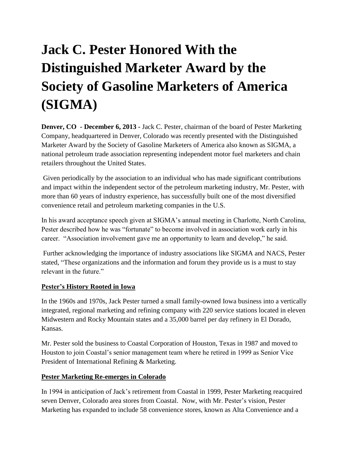## **Jack C. Pester Honored With the Distinguished Marketer Award by the Society of Gasoline Marketers of America (SIGMA)**

**Denver, CO - December 6, 2013 -** Jack C. Pester, chairman of the board of Pester Marketing Company, headquartered in Denver, Colorado was recently presented with the Distinguished Marketer Award by the Society of Gasoline Marketers of America also known as SIGMA, a national petroleum trade association representing independent motor fuel marketers and chain retailers throughout the United States.

Given periodically by the association to an individual who has made significant contributions and impact within the independent sector of the petroleum marketing industry, Mr. Pester, with more than 60 years of industry experience, has successfully built one of the most diversified convenience retail and petroleum marketing companies in the U.S.

In his award acceptance speech given at SIGMA's annual meeting in Charlotte, North Carolina, Pester described how he was "fortunate" to become involved in association work early in his career. "Association involvement gave me an opportunity to learn and develop," he said.

Further acknowledging the importance of industry associations like SIGMA and NACS, Pester stated, "These organizations and the information and forum they provide us is a must to stay relevant in the future."

## **Pester's History Rooted in Iowa**

In the 1960s and 1970s, Jack Pester turned a small family-owned Iowa business into a vertically integrated, regional marketing and refining company with 220 service stations located in eleven Midwestern and Rocky Mountain states and a 35,000 barrel per day refinery in El Dorado, Kansas.

Mr. Pester sold the business to Coastal Corporation of Houston, Texas in 1987 and moved to Houston to join Coastal's senior management team where he retired in 1999 as Senior Vice President of International Refining & Marketing.

## **Pester Marketing Re-emerges in Colorado**

In 1994 in anticipation of Jack's retirement from Coastal in 1999, Pester Marketing reacquired seven Denver, Colorado area stores from Coastal. Now, with Mr. Pester's vision, Pester Marketing has expanded to include 58 convenience stores, known as Alta Convenience and a